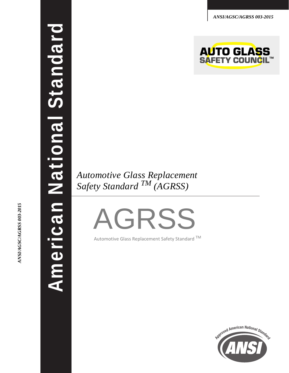

# *Safety Standard TM (AGRSS)*

# **CONCRET Standard <sup>TM</sup> (AGRSS)**<br>Automotive Glass Replacement<br>Safety Standard <sup>TM</sup> (AGRSS)<br>Automotive Glass Replacement Safety Standard <sup>11</sup> GRSS

Automotive Glass Replacement Safety Standard TM

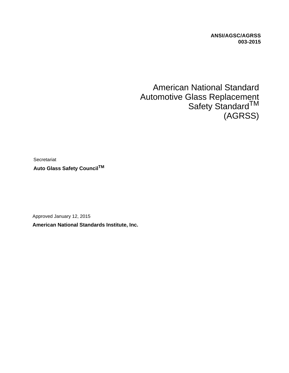**ANSI/AGSC/AGRSS 003-2015**

American National Standard Automotive Glass Replacement Safety Standard<sup>TM</sup> (AGRSS)

**Secretariat** 

**Auto Glass Safety CouncilTM**

Approved January 12, 2015

**American National Standards Institute, Inc.**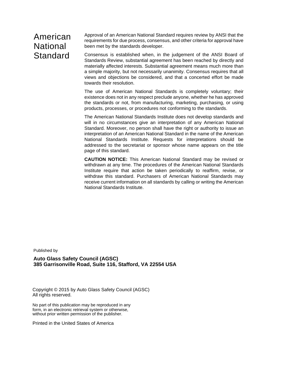# American **National Standard**

Approval of an American National Standard requires review by ANSI that the requirements for due process, consensus, and other criteria for approval have been met by the standards developer.

Consensus is established when, in the judgement of the ANSI Board of Standards Review, substantial agreement has been reached by directly and materially affected interests. Substantial agreement means much more than a simple majority, but not necessarily unanimity. Consensus requires that all views and objections be considered, and that a concerted effort be made towards their resolution.

The use of American National Standards is completely voluntary; their existence does not in any respect preclude anyone, whether he has approved the standards or not, from manufacturing, marketing, purchasing, or using products, processes, or procedures not conforming to the standards.

The American National Standards Institute does not develop standards and will in no circumstances give an interpretation of any American National Standard. Moreover, no person shall have the right or authority to issue an interpretation of an American National Standard in the name of the American National Standards Institute. Requests for interpretations should be addressed to the secretariat or sponsor whose name appears on the title page of this standard.

**CAUTION NOTICE:** This American National Standard may be revised or withdrawn at any time. The procedures of the American National Standards Institute require that action be taken periodically to reaffirm, revise, or withdraw this standard. Purchasers of American National Standards may receive current information on all standards by calling or writing the American National Standards Institute.

Published by

### **Auto Glass Safety Council (AGSC) 385 Garrisonville Road, Suite 116, Stafford, VA 22554 USA**

Copyright © 2015 by Auto Glass Safety Council (AGSC) All rights reserved.

No part of this publication may be reproduced in any form, in an electronic retrieval system or otherwise, without prior written permission of the publisher.

Printed in the United States of America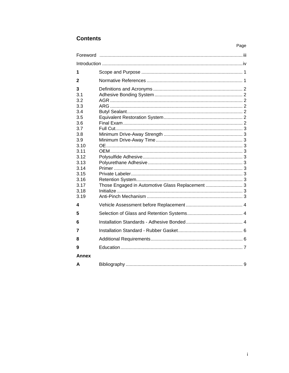### **Contents**

| . .<br>× |  |
|----------|--|

| 1                                                                                                                                                     |  |  |  |
|-------------------------------------------------------------------------------------------------------------------------------------------------------|--|--|--|
| 2                                                                                                                                                     |  |  |  |
| 3<br>3.1<br>3.2<br>3.3<br>3.4<br>3.5<br>3.6<br>3.7<br>3.8<br>3.9<br>3.10<br>3.11<br>3.12<br>3.13<br>3.14<br>3.15<br>3.16<br>3.17<br>3,18<br>3.19<br>4 |  |  |  |
| 5                                                                                                                                                     |  |  |  |
| 6                                                                                                                                                     |  |  |  |
| 7                                                                                                                                                     |  |  |  |
| 8                                                                                                                                                     |  |  |  |
| 9                                                                                                                                                     |  |  |  |
| Annex                                                                                                                                                 |  |  |  |
| A                                                                                                                                                     |  |  |  |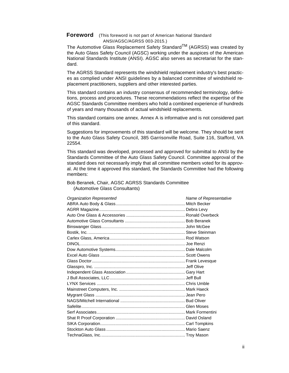### **Foreword** (This foreword is not part of American National Standard ANSI/AGSC/AGRSS 003-2015.)

The Automotive Glass Replacement Safety Standard<sup>TM</sup> (AGRSS) was created by the Auto Glass Safety Council (AGSC) working under the auspices of the American National Standards Institute (ANSI). AGSC also serves as secretariat for the standard.

The AGRSS Standard represents the windshield replacement industry's best practices as complied under ANSI guidelines by a balanced committee of windshield replacement practitioners, suppliers and other interested parties.

This standard contains an industry consensus of recommended terminology, definitions, process and procedures. These recommendations reflect the expertise of the AGSC Standards Committee members who hold a combined experience of hundreds of years and many thousands of actual windshield replacements.

This standard contains one annex. Annex A is informative and is not considered part of this standard.

Suggestions for improvements of this standard will be welcome. They should be sent to the Auto Glass Safety Council, 385 Garrisonville Road, Suite 116, Stafford, VA 22554.

This standard was developed, processed and approved for submittal to ANSI by the Standards Committee of the Auto Glass Safety Council. Committee approval of the standard does not necessarily imply that all committee members voted for its approval. At the time it approved this standard, the Standards Committee had the following members:

Bob Beranek, Chair, AGSC AGRSS Standards Committee (Automotive Glass Consultants)

| <b>Organization Represented</b> | Name of Representative |
|---------------------------------|------------------------|
|                                 |                        |
|                                 |                        |
|                                 |                        |
|                                 |                        |
|                                 |                        |
|                                 |                        |
|                                 |                        |
|                                 |                        |
|                                 |                        |
|                                 |                        |
|                                 |                        |
|                                 |                        |
|                                 |                        |
|                                 |                        |
|                                 |                        |
|                                 |                        |
|                                 |                        |
|                                 |                        |
|                                 |                        |
|                                 |                        |
|                                 |                        |
|                                 |                        |
|                                 |                        |
|                                 |                        |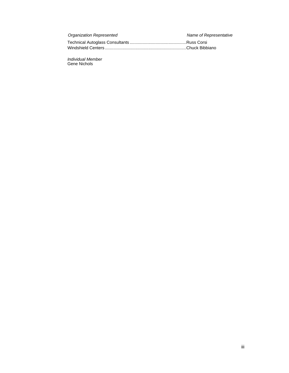| Organization Represented | Name of Representative |
|--------------------------|------------------------|
|                          |                        |
|                          |                        |

*Individual Member* Gene Nichols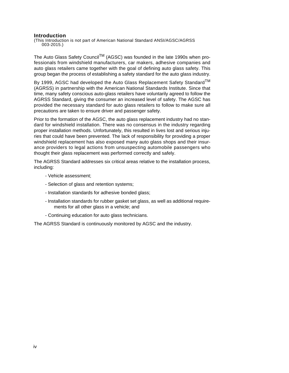### **Introduction**

(This Introduction is not part of American National Standard ANSI/AGSC/AGRSS 003-2015.)

The Auto Glass Safety Council<sup>TM</sup> (AGSC) was founded in the late 1990s when professionals from windshield manufacturers, car makers, adhesive companies and auto glass retailers came together with the goal of defining auto glass safety. This group began the process of establishing a safety standard for the auto glass industry.

By 1999, AGSC had developed the Auto Glass Replacement Safety Standard<sup>™</sup> (AGRSS) in partnership with the American National Standards Institute. Since that time, many safety conscious auto-glass retailers have voluntarily agreed to follow the AGRSS Standard, giving the consumer an increased level of safety. The AGSC has provided the necessary standard for auto glass retailers to follow to make sure all precautions are taken to ensure driver and passenger safety.

Prior to the formation of the AGSC, the auto glass replacement industry had no standard for windshield installation. There was no consensus in the industry regarding proper installation methods. Unfortunately, this resulted in lives lost and serious injuries that could have been prevented. The lack of responsibility for providing a proper windshield replacement has also exposed many auto glass shops and their insurance providers to legal actions from unsuspecting automobile passengers who thought their glass replacement was performed correctly and safely.

The AGRSS Standard addresses six critical areas relative to the installation process, including:

- Vehicle assessment;
- Selection of glass and retention systems;
- Installation standards for adhesive bonded glass;
- Installation standards for rubber gasket set glass, as well as additional requirements for all other glass in a vehicle; and
- Continuing education for auto glass technicians.

The AGRSS Standard is continuously monitored by AGSC and the industry.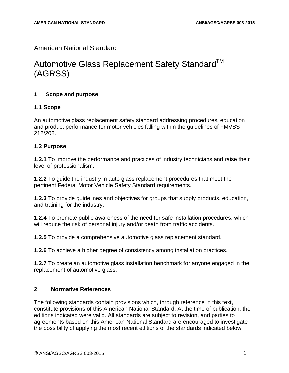American National Standard

# Automotive Glass Replacement Safety Standard<sup>™</sup> (AGRSS)

### **1 Scope and purpose**

### **1.1 Scope**

An automotive glass replacement safety standard addressing procedures, education and product performance for motor vehicles falling within the guidelines of FMVSS 212/208.

### **1.2 Purpose**

**1.2.1** To improve the performance and practices of industry technicians and raise their level of professionalism.

**1.2.2** To guide the industry in auto glass replacement procedures that meet the pertinent Federal Motor Vehicle Safety Standard requirements.

**1.2.3** To provide guidelines and objectives for groups that supply products, education, and training for the industry.

**1.2.4** To promote public awareness of the need for safe installation procedures, which will reduce the risk of personal injury and/or death from traffic accidents.

**1.2.5** To provide a comprehensive automotive glass replacement standard.

**1.2.6** To achieve a higher degree of consistency among installation practices.

**1.2.7** To create an automotive glass installation benchmark for anyone engaged in the replacement of automotive glass.

### **2 Normative References**

The following standards contain provisions which, through reference in this text, constitute provisions of this American National Standard. At the time of publication, the editions indicated were valid. All standards are subject to revision, and parties to agreements based on this American National Standard are encouraged to investigate the possibility of applying the most recent editions of the standards indicated below.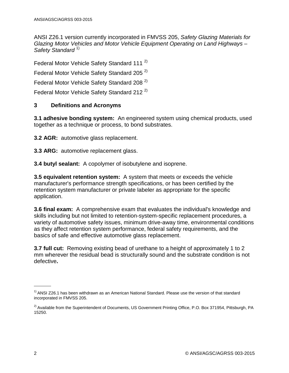ANSI Z26.1 version currently incorporated in FMVSS 205, *Safety Glazing Materials for Glazing Motor Vehicles and Motor Vehicle Equipment Operating on Land Highways – Safety Standard* 1)

Federal Motor Vehicle Safety Standard 111<sup>2</sup>

Federal Motor Vehicle Safety Standard 205<sup>2)</sup>

Federal Motor Vehicle Safety Standard 208<sup>2)</sup>

Federal Motor Vehicle Safety Standard 212<sup>2)</sup>

### **3 Definitions and Acronyms**

**3.1 adhesive bonding system:** An engineered system using chemical products, used together as a technique or process, to bond substrates.

**3.2 AGR:** automotive glass replacement.

**3.3 ARG:** automotive replacement glass.

**3.4 butyl sealant:** A copolymer of isobutylene and isoprene.

**3.5 equivalent retention system:** A system that meets or exceeds the vehicle manufacturer's performance strength specifications, or has been certified by the retention system manufacturer or private labeler as appropriate for the specific application.

**3.6 final exam:** A comprehensive exam that evaluates the individual's knowledge and skills including but not limited to retention-system-specific replacement procedures, a variety of automotive safety issues, minimum drive-away time, environmental conditions as they affect retention system performance, federal safety requirements, and the basics of safe and effective automotive glass replacement.

**3.7 full cut:** Removing existing bead of urethane to a height of approximately 1 to 2 mm wherever the residual bead is structurally sound and the substrate condition is not defective**.** 

 $1)$  ANSI Z26.1 has been withdrawn as an American National Standard. Please use the version of that standard incorporated in FMVSS 205.

 $^{2)}$  Available from the Superintendent of Documents, US Government Printing Office, P.O. Box 371954, Pittsburgh, PA 15250.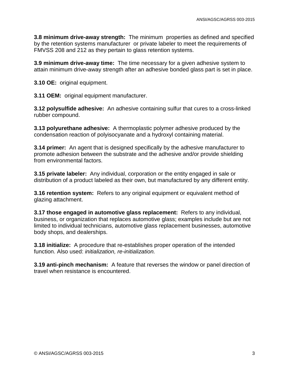**3.8 minimum drive-away strength:** The minimum properties as defined and specified by the retention systems manufacturer or private labeler to meet the requirements of FMVSS 208 and 212 as they pertain to glass retention systems.

**3.9 minimum drive-away time:** The time necessary for a given adhesive system to attain minimum drive-away strength after an adhesive bonded glass part is set in place.

**3.10 OE:** original equipment.

**3.11 OEM:** original equipment manufacturer.

**3.12 polysulfide adhesive:** An adhesive containing sulfur that cures to a cross-linked rubber compound.

**3.13 polyurethane adhesive:** A thermoplastic polymer adhesive produced by the condensation reaction of polyisocyanate and a hydroxyl containing material.

**3.14 primer:** An agent that is designed specifically by the adhesive manufacturer to promote adhesion between the substrate and the adhesive and/or provide shielding from environmental factors.

**3.15 private labeler:** Any individual, corporation or the entity engaged in sale or distribution of a product labeled as their own, but manufactured by any different entity.

**3.16 retention system:** Refers to any original equipment or equivalent method of glazing attachment.

**3.17 those engaged in automotive glass replacement:** Refers to any individual, business, or organization that replaces automotive glass; examples include but are not limited to individual technicians, automotive glass replacement businesses, automotive body shops, and dealerships.

**3.18 initialize:** A procedure that re-establishes proper operation of the intended function. Also used: *initialization, re-initialization.*

**3.19 anti-pinch mechanism:** A feature that reverses the window or panel direction of travel when resistance is encountered.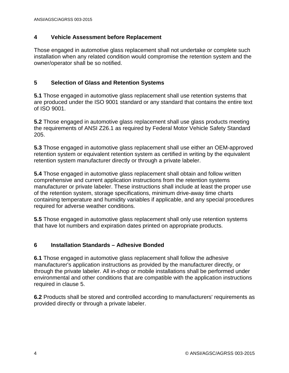### **4 Vehicle Assessment before Replacement**

Those engaged in automotive glass replacement shall not undertake or complete such installation when any related condition would compromise the retention system and the owner/operator shall be so notified.

### **5 Selection of Glass and Retention Systems**

**5.1** Those engaged in automotive glass replacement shall use retention systems that are produced under the ISO 9001 standard or any standard that contains the entire text of ISO 9001.

**5.2** Those engaged in automotive glass replacement shall use glass products meeting the requirements of ANSI Z26.1 as required by Federal Motor Vehicle Safety Standard 205.

**5.3** Those engaged in automotive glass replacement shall use either an OEM-approved retention system or equivalent retention system as certified in writing by the equivalent retention system manufacturer directly or through a private labeler.

**5.4** Those engaged in automotive glass replacement shall obtain and follow written comprehensive and current application instructions from the retention systems manufacturer or private labeler. These instructions shall include at least the proper use of the retention system, storage specifications, minimum drive-away time charts containing temperature and humidity variables if applicable, and any special procedures required for adverse weather conditions.

**5.5** Those engaged in automotive glass replacement shall only use retention systems that have lot numbers and expiration dates printed on appropriate products.

### **6 Installation Standards – Adhesive Bonded**

**6.1** Those engaged in automotive glass replacement shall follow the adhesive manufacturer's application instructions as provided by the manufacturer directly, or through the private labeler. All in-shop or mobile installations shall be performed under environmental and other conditions that are compatible with the application instructions required in clause 5.

**6.2** Products shall be stored and controlled according to manufacturers' requirements as provided directly or through a private labeler.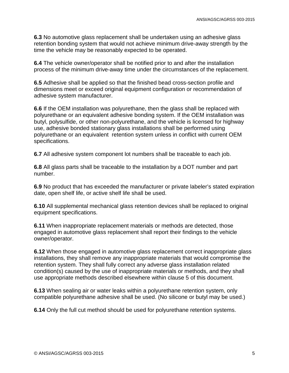**6.3** No automotive glass replacement shall be undertaken using an adhesive glass retention bonding system that would not achieve minimum drive-away strength by the time the vehicle may be reasonably expected to be operated.

**6.4** The vehicle owner/operator shall be notified prior to and after the installation process of the minimum drive-away time under the circumstances of the replacement.

**6.5** Adhesive shall be applied so that the finished bead cross-section profile and dimensions meet or exceed original equipment configuration or recommendation of adhesive system manufacturer.

**6.6** If the OEM installation was polyurethane, then the glass shall be replaced with polyurethane or an equivalent adhesive bonding system. If the OEM installation was butyl, polysulfide, or other non-polyurethane, and the vehicle is licensed for highway use, adhesive bonded stationary glass installations shall be performed using polyurethane or an equivalent retention system unless in conflict with current OEM specifications.

**6.7** All adhesive system component lot numbers shall be traceable to each job.

**6.8** All glass parts shall be traceable to the installation by a DOT number and part number.

**6.9** No product that has exceeded the manufacturer or private labeler's stated expiration date, open shelf life, or active shelf life shall be used.

**6.10** All supplemental mechanical glass retention devices shall be replaced to original equipment specifications.

**6.11** When inappropriate replacement materials or methods are detected, those engaged in automotive glass replacement shall report their findings to the vehicle owner/operator.

**6.12** When those engaged in automotive glass replacement correct inappropriate glass installations, they shall remove any inappropriate materials that would compromise the retention system. They shall fully correct any adverse glass installation related condition(s) caused by the use of inappropriate materials or methods, and they shall use appropriate methods described elsewhere within clause 5 of this document.

**6.13** When sealing air or water leaks within a polyurethane retention system, only compatible polyurethane adhesive shall be used. (No silicone or butyl may be used.)

**6.14** Only the full cut method should be used for polyurethane retention systems.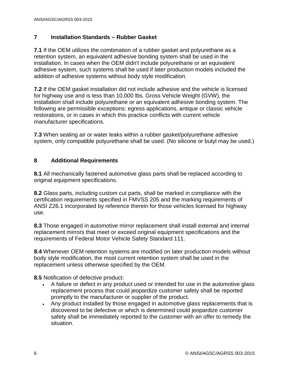### **7 Installation Standards – Rubber Gasket**

**7.1** If the OEM utilizes the combination of a rubber gasket and polyurethane as a retention system, an equivalent adhesive bonding system shall be used in the installation. In cases when the OEM didn't include polyurethane or an equivalent adhesive system, such systems shall be used if later production models included the addition of adhesive systems without body style modification.

**7.2** If the OEM gasket installation did not include adhesive and the vehicle is licensed for highway use and is less than 10,000 lbs. Gross Vehicle Weight (GVW), the installation shall include polyurethane or an equivalent adhesive bonding system. The following are permissible exceptions: egress applications, antique or classic vehicle restorations, or in cases in which this practice conflicts with current vehicle manufacturer specifications.

**7.3** When sealing air or water leaks within a rubber gasket/polyurethane adhesive system, only compatible polyurethane shall be used. (No silicone or butyl may be used.)

### **8 Additional Requirements**

**8.1** All mechanically fastened automotive glass parts shall be replaced according to original equipment specifications.

**8.2** Glass parts, including custom cut parts, shall be marked in compliance with the certification requirements specified in FMVSS 205 and the marking requirements of ANSI Z26.1 incorporated by reference therein for those vehicles licensed for highway use.

**8.3** Those engaged in automotive mirror replacement shall install external and internal replacement mirrors that meet or exceed original equipment specifications and the requirements of Federal Motor Vehicle Safety Standard 111.

**8.4** Whenever OEM retention systems are modified on later production models without body style modification, the most current retention system shall be used in the replacement unless otherwise specified by the OEM.

**8.5** Notification of defective product:

- A failure or defect in any product used or intended for use in the automotive glass replacement process that could jeopardize customer safety shall be reported promptly to the manufacturer or supplier of the product.
- Any product installed by those engaged in automotive glass replacements that is discovered to be defective or which is determined could jeopardize customer safety shall be immediately reported to the customer with an offer to remedy the situation.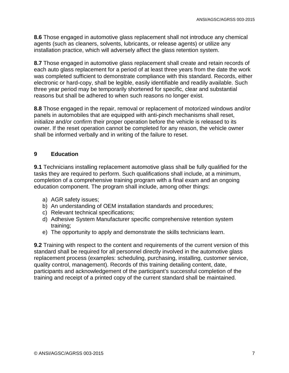**8.6** Those engaged in automotive glass replacement shall not introduce any chemical agents (such as cleaners, solvents, lubricants, or release agents) or utilize any installation practice, which will adversely affect the glass retention system.

**8.7** Those engaged in automotive glass replacement shall create and retain records of each auto glass replacement for a period of at least three years from the date the work was completed sufficient to demonstrate compliance with this standard. Records, either electronic or hard-copy, shall be legible, easily identifiable and readily available. Such three year period may be temporarily shortened for specific, clear and substantial reasons but shall be adhered to when such reasons no longer exist.

**8.8** Those engaged in the repair, removal or replacement of motorized windows and/or panels in automobiles that are equipped with anti-pinch mechanisms shall reset, initialize and/or confirm their proper operation before the vehicle is released to its owner. If the reset operation cannot be completed for any reason, the vehicle owner shall be informed verbally and in writing of the failure to reset.

### **9 Education**

**9.1** Technicians installing replacement automotive glass shall be fully qualified for the tasks they are required to perform. Such qualifications shall include, at a minimum, completion of a comprehensive training program with a final exam and an ongoing education component. The program shall include, among other things:

- a) AGR safety issues;
- b) An understanding of OEM installation standards and procedures;
- c) Relevant technical specifications;
- d) Adhesive System Manufacturer specific comprehensive retention system training;
- e) The opportunity to apply and demonstrate the skills technicians learn.

**9.2** Training with respect to the content and requirements of the current version of this standard shall be required for all personnel directly involved in the automotive glass replacement process (examples: scheduling, purchasing, installing, customer service, quality control, management). Records of this training detailing content, date, participants and acknowledgement of the participant's successful completion of the training and receipt of a printed copy of the current standard shall be maintained.